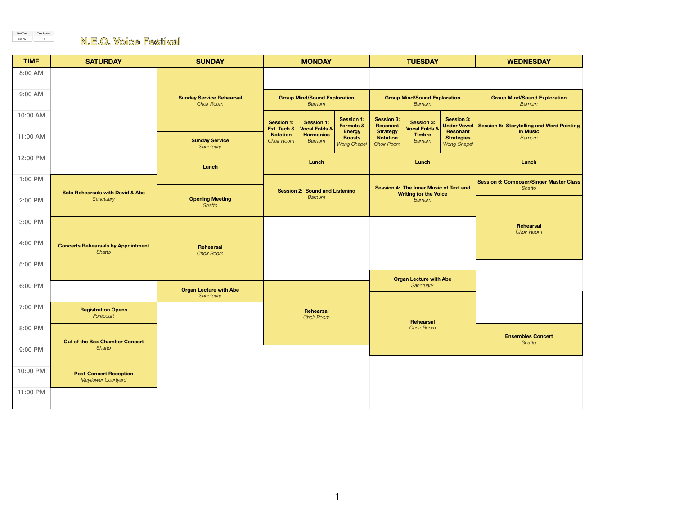| <b>TIME</b>     | <b>SATURDAY</b>                                             | <b>SUNDAY</b>                                        | <b>MONDAY</b>                                   |                                               |                                               | <b>TUESDAY</b>                                                                          |                                               |                                                     | <b>WEDNESDAY</b>                                         |
|-----------------|-------------------------------------------------------------|------------------------------------------------------|-------------------------------------------------|-----------------------------------------------|-----------------------------------------------|-----------------------------------------------------------------------------------------|-----------------------------------------------|-----------------------------------------------------|----------------------------------------------------------|
| 8:00 AM         |                                                             |                                                      |                                                 |                                               |                                               |                                                                                         |                                               |                                                     |                                                          |
| 9:00 AM         |                                                             | <b>Sunday Service Rehearsal</b><br><b>Choir Room</b> | <b>Group Mind/Sound Exploration</b><br>Barnum   |                                               |                                               | <b>Group Mind/Sound Exploration</b><br>Barnum                                           |                                               |                                                     | <b>Group Mind/Sound Exploration</b><br>Barnum            |
| <b>10:00 AM</b> |                                                             |                                                      | <b>Session 1:</b><br>Ext. Tech &                | <b>Session 1:</b><br><b>Vocal Folds &amp;</b> | <b>Session 1:</b><br><b>Formats &amp;</b>     | <b>Session 3:</b><br>Resonant                                                           | <b>Session 3:</b><br><b>Vocal Folds &amp;</b> | <b>Session 3:</b>                                   | Under Vowel   Session 5: Storytelling and Word Painting  |
| 11:00 AM        |                                                             | <b>Sunday Service</b><br>Sanctuary                   | <b>Notation</b><br><b>Choir Room</b>            | <b>Harmonics</b><br><b>Barnum</b>             | <b>Energy</b><br><b>Boosts</b><br>Wong Chapel | <b>Strategy</b><br><b>Notation</b><br><b>Choir Room</b>                                 | <b>Timbre</b><br><b>Barnum</b>                | <b>Resonant</b><br><b>Strategies</b><br>Wong Chapel | <b>in Music</b><br>Barnum                                |
| <b>12:00 PM</b> |                                                             | Lunch                                                |                                                 | Lunch                                         |                                               |                                                                                         | Lunch                                         |                                                     | Lunch                                                    |
| <b>1:00 PM</b>  | <b>Solo Rehearsals with David &amp; Abe</b>                 |                                                      | <b>Session 2: Sound and Listening</b><br>Barnum |                                               |                                               | <b>Session 4: The Inner Music of Text and</b><br><b>Writing for the Voice</b><br>Barnum |                                               |                                                     | <b>Session 6: Composer/Singer Master Class</b><br>Shatto |
| 2:00 PM         | Sanctuary                                                   | <b>Opening Meeting</b><br>Shatto                     |                                                 |                                               |                                               |                                                                                         |                                               |                                                     |                                                          |
| 3:00 PM         |                                                             |                                                      |                                                 |                                               |                                               |                                                                                         |                                               |                                                     | Rehearsal<br><b>Choir Room</b>                           |
| 4:00 PM         | <b>Concerts Rehearsals by Appointment</b><br>Shatto         | <b>Rehearsal</b><br><b>Choir Room</b>                |                                                 |                                               |                                               |                                                                                         |                                               |                                                     |                                                          |
| 5:00 PM         |                                                             |                                                      |                                                 |                                               |                                               |                                                                                         |                                               |                                                     |                                                          |
| 6:00 PM         |                                                             | <b>Organ Lecture with Abe</b><br>Sanctuary           |                                                 |                                               |                                               | <b>Organ Lecture with Abe</b><br>Sanctuary                                              |                                               |                                                     |                                                          |
| 7:00 PM         | <b>Registration Opens</b><br>Forecourt                      |                                                      | <b>Rehearsal</b><br><b>Choir Room</b>           |                                               |                                               |                                                                                         |                                               |                                                     |                                                          |
| 8:00 PM         |                                                             |                                                      |                                                 |                                               |                                               |                                                                                         | <b>Rehearsal</b><br><b>Choir Room</b>         |                                                     | <b>Ensembles Concert</b>                                 |
| 9:00 PM         | <b>Out of the Box Chamber Concert</b><br>Shatto             |                                                      |                                                 |                                               |                                               |                                                                                         |                                               |                                                     | Shatto                                                   |
| 10:00 PM        | <b>Post-Concert Reception</b><br><b>Mayflower Courtyard</b> |                                                      |                                                 |                                               |                                               |                                                                                         |                                               |                                                     |                                                          |
| 11:00 PM        |                                                             |                                                      |                                                 |                                               |                                               |                                                                                         |                                               |                                                     |                                                          |

**Start Time** 8:00 AM

**Time Blocks**

## <sup>1h</sup> N.E.O. Voice Festival

1